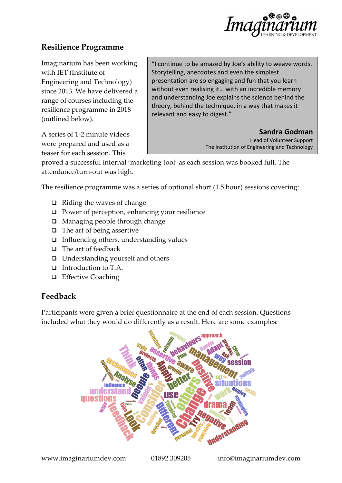

# **Resilience Programme**

Imaginarium has been working with IET (Institute of Engineering and Technology) since 2013. We have delivered a range of courses including the resilience programme in 2018 (outlined below).

A series of 1-2 minute videos were prepared and used as a teaser for each session. This

"I continue to be amazed by Joe's ability to weave words. Storytelling, anecdotes and even the simplest presentation are so engaging and fun that you learn without even realising it… with an incredible memory and understanding Joe explains the science behind the theory, behind the technique, in a way that makes it relevant and easy to digest."

> **Sandra Godman** Head of Volunteer Support The Institution of Engineering and Technology

proved a successful internal 'marketing tool' as each session was booked full. The attendance/turn-out was high.

The resilience programme was a series of optional short (1.5 hour) sessions covering:

- ❑ Riding the waves of change
- ❑ Power of perception, enhancing your resilience
- ❑ Managing people through change
- ❑ The art of being assertive
- ❑ Influencing others, understanding values
- ❑ The art of feedback
- ❑ Understanding yourself and others
- ❑ Introduction to T.A.
- ❑ Effective Coaching

## **Feedback**

Participants were given a brief questionnaire at the end of each session. Questions included what they would do differently as a result. Here are some examples:

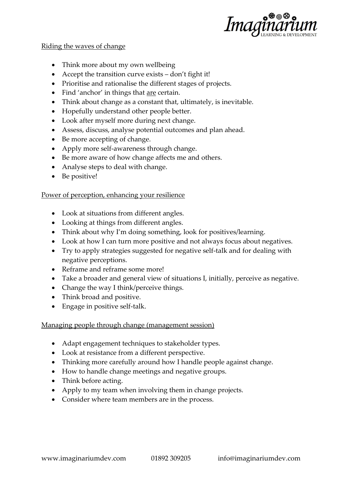

#### Riding the waves of change

- Think more about my own wellbeing
- Accept the transition curve exists don't fight it!
- Prioritise and rationalise the different stages of projects.
- Find 'anchor' in things that are certain.
- Think about change as a constant that, ultimately, is inevitable.
- Hopefully understand other people better.
- Look after myself more during next change.
- Assess, discuss, analyse potential outcomes and plan ahead.
- Be more accepting of change.
- Apply more self-awareness through change.
- Be more aware of how change affects me and others.
- Analyse steps to deal with change.
- Be positive!

#### Power of perception, enhancing your resilience

- Look at situations from different angles.
- Looking at things from different angles.
- Think about why I'm doing something, look for positives/learning.
- Look at how I can turn more positive and not always focus about negatives.
- Try to apply strategies suggested for negative self-talk and for dealing with negative perceptions.
- Reframe and reframe some more!
- Take a broader and general view of situations I, initially, perceive as negative.
- Change the way I think/perceive things.
- Think broad and positive.
- Engage in positive self-talk.

## Managing people through change (management session)

- Adapt engagement techniques to stakeholder types.
- Look at resistance from a different perspective.
- Thinking more carefully around how I handle people against change.
- How to handle change meetings and negative groups.
- Think before acting.
- Apply to my team when involving them in change projects.
- Consider where team members are in the process.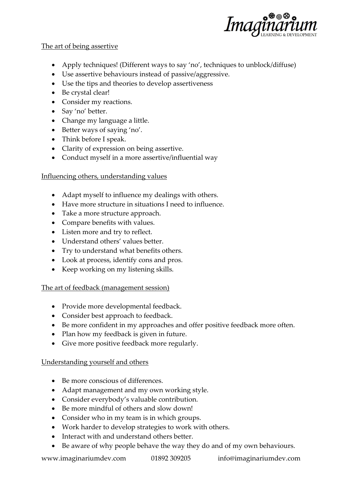

#### The art of being assertive

- Apply techniques! (Different ways to say 'no', techniques to unblock/diffuse)
- Use assertive behaviours instead of passive/aggressive.
- Use the tips and theories to develop assertiveness
- Be crystal clear!
- Consider my reactions.
- Say 'no' better.
- Change my language a little.
- Better ways of saying 'no'.
- Think before I speak.
- Clarity of expression on being assertive.
- Conduct myself in a more assertive/influential way

## Influencing others, understanding values

- Adapt myself to influence my dealings with others.
- Have more structure in situations I need to influence.
- Take a more structure approach.
- Compare benefits with values.
- Listen more and try to reflect.
- Understand others' values better.
- Try to understand what benefits others.
- Look at process, identify cons and pros.
- Keep working on my listening skills.

## The art of feedback (management session)

- Provide more developmental feedback.
- Consider best approach to feedback.
- Be more confident in my approaches and offer positive feedback more often.
- Plan how my feedback is given in future.
- Give more positive feedback more regularly.

## Understanding yourself and others

- Be more conscious of differences.
- Adapt management and my own working style.
- Consider everybody's valuable contribution.
- Be more mindful of others and slow down!
- Consider who in my team is in which groups.
- Work harder to develop strategies to work with others.
- Interact with and understand others better.
- Be aware of why people behave the way they do and of my own behaviours.